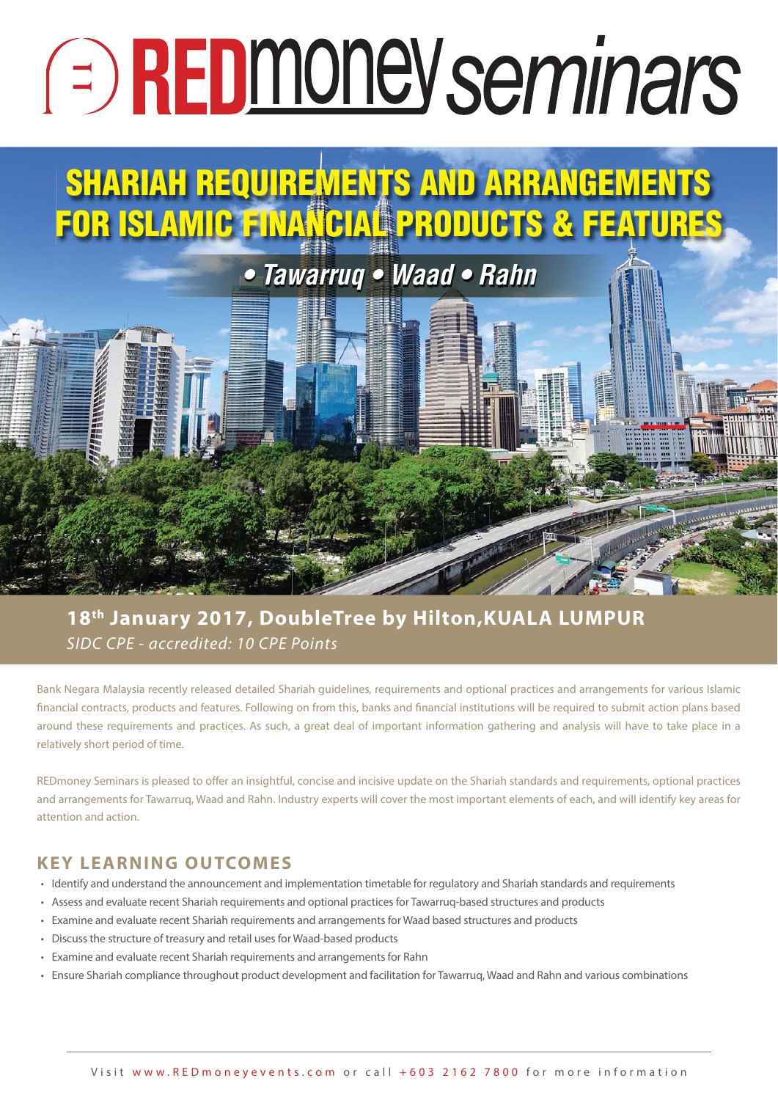# **E** REDmoney seminars

## **SHARIAH REQUIREMENTS AND ARRANGEMENTS FOR ISLAMIC FINANCIAL PRODUCTS & FEATURES**

## *• Tawarruq • Waad • Rahn*

### SIDC CPE - accredited: 10 CPE Points **18th January 2017, DoubleTree by Hilton,KUALA LUMPUR**

Bank Negara Malaysia recently released detailed Shariah guidelines, requirements and optional practices and arrangements for various Islamic financial contracts, products and features. Following on from this, banks and financial institutions will be required to submit action plans based around these requirements and practices. As such, a great deal of important information gathering and analysis will have to take place in a relatively short period of time.

REDmoney Seminars is pleased to offer an insightful, concise and incisive update on the Shariah standards and requirements, optional practices and arrangements for Tawarruq, Waad and Rahn. Industry experts will cover the most important elements of each, and will identify key areas for attention and action.

#### **KEY LEARNING OUTCOMES**

- Identify and understand the announcement and implementation timetable for regulatory and Shariah standards and requirements
- Assess and evaluate recent Shariah requirements and optional practices for Tawarruq-based structures and products
- Examine and evaluate recent Shariah requirements and arrangements for Waad based structures and products
- Discuss the structure of treasury and retail uses for Waad-based products
- Examine and evaluate recent Shariah requirements and arrangements for Rahn
- Ensure Shariah compliance throughout product development and facilitation for Tawarruq, Waad and Rahn and various combinations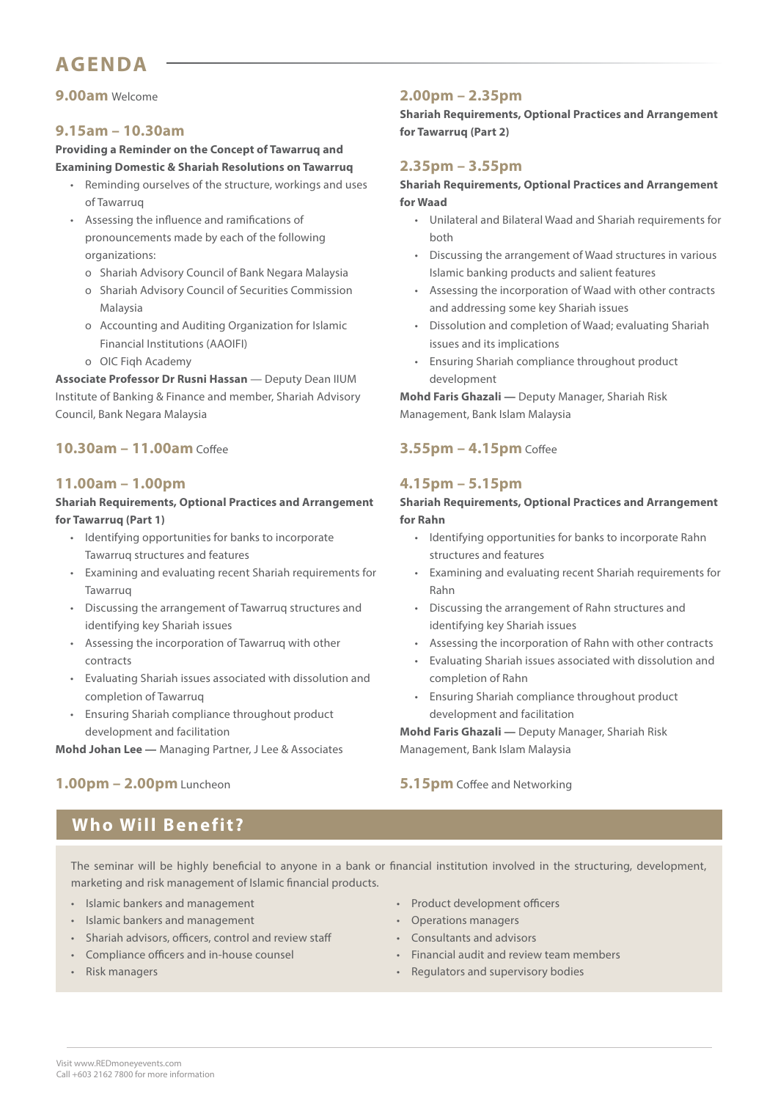#### **AGENDA**

#### **9.00am** Welcome

#### **9.15am – 10.30am**

**Providing a Reminder on the Concept of Tawarruq and Examining Domestic & Shariah Resolutions on Tawarruq**

- Reminding ourselves of the structure, workings and uses of Tawarruq
- Assessing the influence and ramifications of pronouncements made by each of the following organizations:
	- o Shariah Advisory Council of Bank Negara Malaysia
	- o Shariah Advisory Council of Securities Commission Malaysia
	- o Accounting and Auditing Organization for Islamic Financial Institutions (AAOIFI)
	- o OIC Fiqh Academy

**Associate Professor Dr Rusni Hassan** — Deputy Dean IIUM Institute of Banking & Finance and member, Shariah Advisory Council, Bank Negara Malaysia

#### **10.30am – 11.00am** Coffee

#### **11.00am – 1.00pm**

#### **Shariah Requirements, Optional Practices and Arrangement for Tawarruq (Part 1)**

- Identifying opportunities for banks to incorporate Tawarruq structures and features
- Examining and evaluating recent Shariah requirements for Tawarruq
- Discussing the arrangement of Tawarruq structures and identifying key Shariah issues
- Assessing the incorporation of Tawarruq with other contracts
- Evaluating Shariah issues associated with dissolution and completion of Tawarruq
- Ensuring Shariah compliance throughout product development and facilitation

**Mohd Johan Lee —** Managing Partner, J Lee & Associates

#### **1.00pm – 2.00pm** Luncheon

#### **Who Will Benefit?**

The seminar will be highly beneficial to anyone in a bank or financial institution involved in the structuring, development, marketing and risk management of Islamic financial products.

• Islamic bankers and management

- Islamic bankers and management
- Shariah advisors, officers, control and review staff
- Compliance officers and in-house counsel

#### • Risk managers

- Product development officers
- Operations managers
- Consultants and advisors
- Financial audit and review team members
- Regulators and supervisory bodies

#### **2.00pm – 2.35pm**

**Shariah Requirements, Optional Practices and Arrangement for Tawarruq (Part 2)**

#### **2.35pm – 3.55pm**

**Shariah Requirements, Optional Practices and Arrangement for Waad**

- Unilateral and Bilateral Waad and Shariah requirements for both
- Discussing the arrangement of Waad structures in various Islamic banking products and salient features
- Assessing the incorporation of Waad with other contracts and addressing some key Shariah issues
- Dissolution and completion of Waad; evaluating Shariah issues and its implications
- Ensuring Shariah compliance throughout product development

**Mohd Faris Ghazali —** Deputy Manager, Shariah Risk Management, Bank Islam Malaysia

#### **3.55pm – 4.15pm** Coffee

#### **4.15pm – 5.15pm**

#### **Shariah Requirements, Optional Practices and Arrangement for Rahn**

- Identifying opportunities for banks to incorporate Rahn structures and features
- Examining and evaluating recent Shariah requirements for Rahn
- Discussing the arrangement of Rahn structures and identifying key Shariah issues
- Assessing the incorporation of Rahn with other contracts
- Evaluating Shariah issues associated with dissolution and completion of Rahn
- Ensuring Shariah compliance throughout product development and facilitation

**Mohd Faris Ghazali —** Deputy Manager, Shariah Risk Management, Bank Islam Malaysia

#### **5.15pm** Coffee and Networking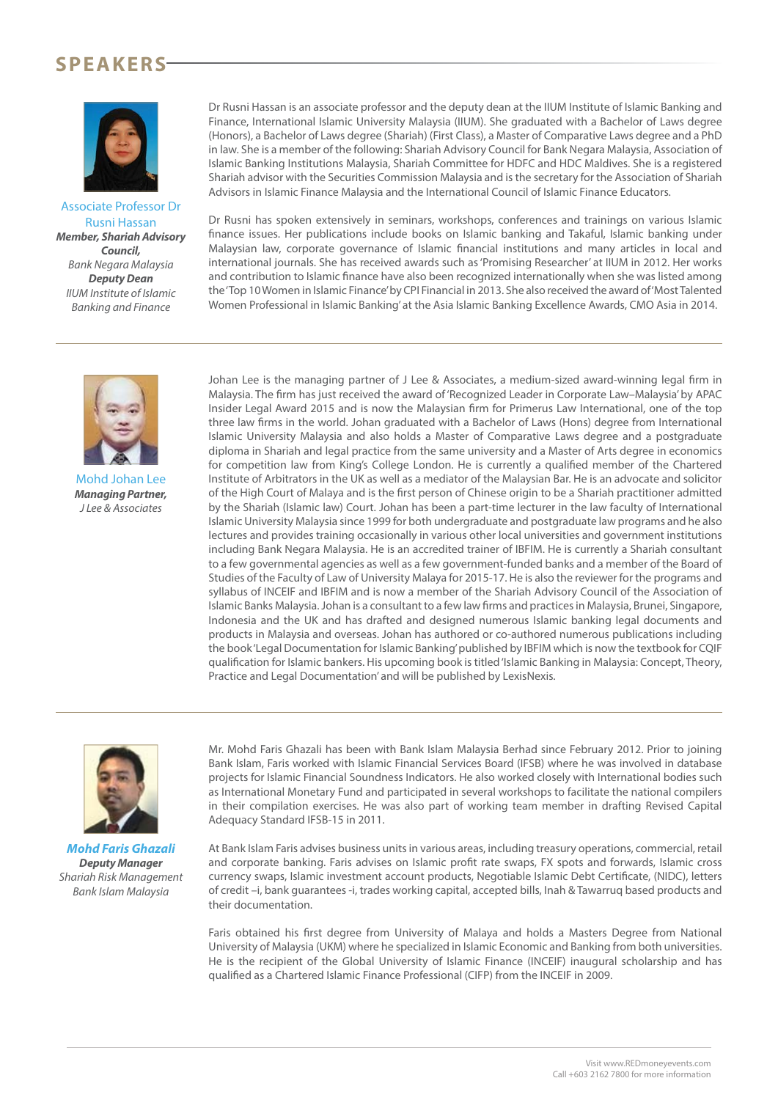#### **SPEAKERS**



Associate Professor Dr Rusni Hassan *Member, Shariah Advisory Council,* Bank Negara Malaysia *Deputy Dean* IIUM Institute of Islamic Banking and Finance

Dr Rusni Hassan is an associate professor and the deputy dean at the IIUM Institute of Islamic Banking and Finance, International Islamic University Malaysia (IIUM). She graduated with a Bachelor of Laws degree (Honors), a Bachelor of Laws degree (Shariah) (First Class), a Master of Comparative Laws degree and a PhD in law. She is a member of the following: Shariah Advisory Council for Bank Negara Malaysia, Association of Islamic Banking Institutions Malaysia, Shariah Committee for HDFC and HDC Maldives. She is a registered Shariah advisor with the Securities Commission Malaysia and is the secretary for the Association of Shariah Advisors in Islamic Finance Malaysia and the International Council of Islamic Finance Educators.

Dr Rusni has spoken extensively in seminars, workshops, conferences and trainings on various Islamic finance issues. Her publications include books on Islamic banking and Takaful, Islamic banking under Malaysian law, corporate governance of Islamic financial institutions and many articles in local and international journals. She has received awards such as 'Promising Researcher' at IIUM in 2012. Her works and contribution to Islamic finance have also been recognized internationally when she was listed among the 'Top 10 Women in Islamic Finance' by CPI Financial in 2013. She also received the award of 'Most Talented Women Professional in Islamic Banking' at the Asia Islamic Banking Excellence Awards, CMO Asia in 2014.



Mohd Johan Lee *Managing Partner,* J Lee & Associates

Johan Lee is the managing partner of J Lee & Associates, a medium-sized award-winning legal firm in Malaysia. The firm has just received the award of 'Recognized Leader in Corporate Law–Malaysia' by APAC Insider Legal Award 2015 and is now the Malaysian firm for Primerus Law International, one of the top three law firms in the world. Johan graduated with a Bachelor of Laws (Hons) degree from International Islamic University Malaysia and also holds a Master of Comparative Laws degree and a postgraduate diploma in Shariah and legal practice from the same university and a Master of Arts degree in economics for competition law from King's College London. He is currently a qualified member of the Chartered Institute of Arbitrators in the UK as well as a mediator of the Malaysian Bar. He is an advocate and solicitor of the High Court of Malaya and is the first person of Chinese origin to be a Shariah practitioner admitted by the Shariah (Islamic law) Court. Johan has been a part-time lecturer in the law faculty of International Islamic University Malaysia since 1999 for both undergraduate and postgraduate law programs and he also lectures and provides training occasionally in various other local universities and government institutions including Bank Negara Malaysia. He is an accredited trainer of IBFIM. He is currently a Shariah consultant to a few governmental agencies as well as a few government-funded banks and a member of the Board of Studies of the Faculty of Law of University Malaya for 2015-17. He is also the reviewer for the programs and syllabus of INCEIF and IBFIM and is now a member of the Shariah Advisory Council of the Association of Islamic Banks Malaysia. Johan is a consultant to a few law firms and practices in Malaysia, Brunei, Singapore, Indonesia and the UK and has drafted and designed numerous Islamic banking legal documents and products in Malaysia and overseas. Johan has authored or co-authored numerous publications including the book 'Legal Documentation for Islamic Banking' published by IBFIM which is now the textbook for CQIF qualification for Islamic bankers. His upcoming book is titled 'Islamic Banking in Malaysia: Concept, Theory, Practice and Legal Documentation' and will be published by LexisNexis.



*Mohd Faris Ghazali Deputy Manager* Shariah Risk Management Bank Islam Malaysia

Mr. Mohd Faris Ghazali has been with Bank Islam Malaysia Berhad since February 2012. Prior to joining Bank Islam, Faris worked with Islamic Financial Services Board (IFSB) where he was involved in database projects for Islamic Financial Soundness Indicators. He also worked closely with International bodies such as International Monetary Fund and participated in several workshops to facilitate the national compilers in their compilation exercises. He was also part of working team member in drafting Revised Capital Adequacy Standard IFSB-15 in 2011.

At Bank Islam Faris advises business units in various areas, including treasury operations, commercial, retail and corporate banking. Faris advises on Islamic profit rate swaps, FX spots and forwards, Islamic cross currency swaps, Islamic investment account products, Negotiable Islamic Debt Certificate, (NIDC), letters of credit –i, bank guarantees -i, trades working capital, accepted bills, Inah & Tawarruq based products and their documentation.

Faris obtained his first degree from University of Malaya and holds a Masters Degree from National University of Malaysia (UKM) where he specialized in Islamic Economic and Banking from both universities. He is the recipient of the Global University of Islamic Finance (INCEIF) inaugural scholarship and has qualified as a Chartered Islamic Finance Professional (CIFP) from the INCEIF in 2009.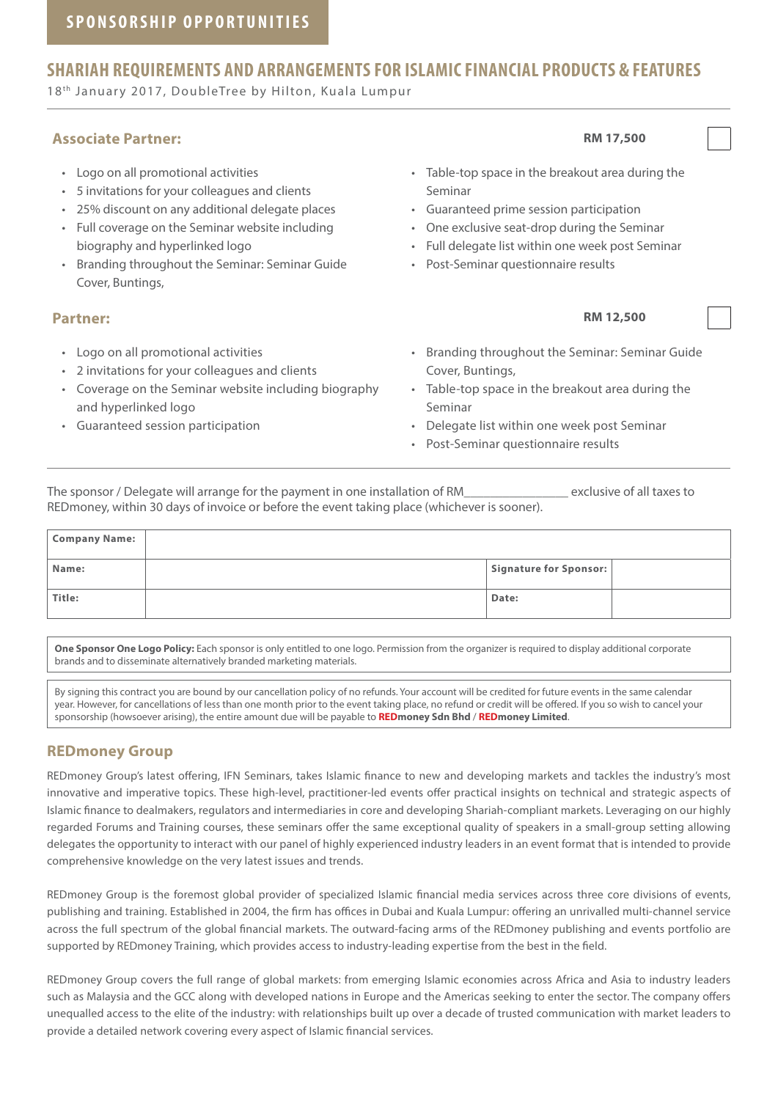#### **SHARIAH REQUIREMENTS AND ARRANGEMENTS FOR ISLAMIC FINANCIAL PRODUCTS & FEATURES**

18th January 2017, DoubleTree by Hilton, Kuala Lumpur

#### **Associate Partner: RM 17,500**

- Logo on all promotional activities
- 5 invitations for your colleagues and clients
- 25% discount on any additional delegate places
- Full coverage on the Seminar website including biography and hyperlinked logo
- Branding throughout the Seminar: Seminar Guide Cover, Buntings,

- Logo on all promotional activities
- 2 invitations for your colleagues and clients
- Coverage on the Seminar website including biography and hyperlinked logo
- Guaranteed session participation

• Table-top space in the breakout area during the Seminar

- Guaranteed prime session participation
- One exclusive seat-drop during the Seminar
- Full delegate list within one week post Seminar
- Post-Seminar questionnaire results
- **Partner: RM 12,500** 
	- Branding throughout the Seminar: Seminar Guide Cover, Buntings,
	- Table-top space in the breakout area during the Seminar
	- Delegate list within one week post Seminar
	- Post-Seminar questionnaire results

The sponsor / Delegate will arrange for the payment in one installation of RM The sponsor versions of all taxes to REDmoney, within 30 days of invoice or before the event taking place (whichever is sooner).

| <b>Company Name:</b> |                        |  |
|----------------------|------------------------|--|
| Name:                | Signature for Sponsor: |  |
| Title:               | Date:                  |  |

**One Sponsor One Logo Policy:** Each sponsor is only entitled to one logo. Permission from the organizer is required to display additional corporate brands and to disseminate alternatively branded marketing materials.

By signing this contract you are bound by our cancellation policy of no refunds. Your account will be credited for future events in the same calendar year. However, for cancellations of less than one month prior to the event taking place, no refund or credit will be offered. If you so wish to cancel your sponsorship (howsoever arising), the entire amount due will be payable to **REDmoney Sdn Bhd** / **REDmoney Limited**.

#### **REDmoney Group**

REDmoney Group's latest offering, IFN Seminars, takes Islamic finance to new and developing markets and tackles the industry's most innovative and imperative topics. These high-level, practitioner-led events offer practical insights on technical and strategic aspects of Islamic finance to dealmakers, regulators and intermediaries in core and developing Shariah-compliant markets. Leveraging on our highly regarded Forums and Training courses, these seminars offer the same exceptional quality of speakers in a small-group setting allowing delegates the opportunity to interact with our panel of highly experienced industry leaders in an event format that is intended to provide comprehensive knowledge on the very latest issues and trends.

REDmoney Group is the foremost global provider of specialized Islamic financial media services across three core divisions of events, publishing and training. Established in 2004, the firm has offices in Dubai and Kuala Lumpur: offering an unrivalled multi-channel service across the full spectrum of the global financial markets. The outward-facing arms of the REDmoney publishing and events portfolio are supported by REDmoney Training, which provides access to industry-leading expertise from the best in the field.

REDmoney Group covers the full range of global markets: from emerging Islamic economies across Africa and Asia to industry leaders such as Malaysia and the GCC along with developed nations in Europe and the Americas seeking to enter the sector. The company offers unequalled access to the elite of the industry: with relationships built up over a decade of trusted communication with market leaders to provide a detailed network covering every aspect of Islamic financial services.